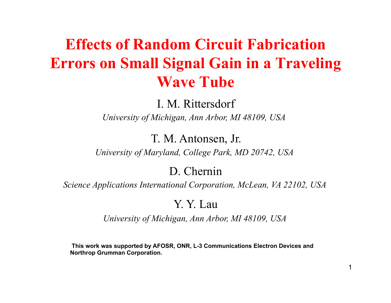### **Effects of Random Circuit Fabrication Errors on Small Signal Gain in a Traveling Wave Tube**

I. M. Rittersdorf

*University of Michigan, Ann Arbor, MI 48109, USA* 

T. M. Antonsen, Jr.

*University of Maryland, College Park, MD 20742, USA* 

D. Chernin

*Science Applications International Corporation, McLean, VA 22102, USA*

Y. Y. Lau

*University of Michigan, Ann Arbor, MI 48109, USA* 

 **This work was supported by AFOSR, ONR, L-3 Communications Electron Devices and Northrop Grumman Corporation.**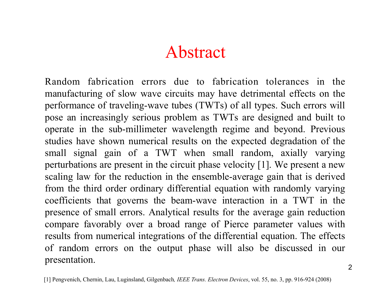## Abstract

Random fabrication errors due to fabrication tolerances in the manufacturing of slow wave circuits may have detrimental effects on the performance of traveling-wave tubes (TWTs) of all types. Such errors will pose an increasingly serious problem as TWTs are designed and built to operate in the sub-millimeter wavelength regime and beyond. Previous studies have shown numerical results on the expected degradation of the small signal gain of a TWT when small random, axially varying perturbations are present in the circuit phase velocity [1]. We present a new scaling law for the reduction in the ensemble-average gain that is derived from the third order ordinary differential equation with randomly varying coefficients that governs the beam-wave interaction in a TWT in the presence of small errors. Analytical results for the average gain reduction compare favorably over a broad range of Pierce parameter values with results from numerical integrations of the differential equation. The effects of random errors on the output phase will also be discussed in our presentation.

[1] Pengvenich, Chernin, Lau, Luginsland, Gilgenbach*, IEEE Trans. Electron Devices*, vol. 55, no. 3, pp. 916-924 (2008)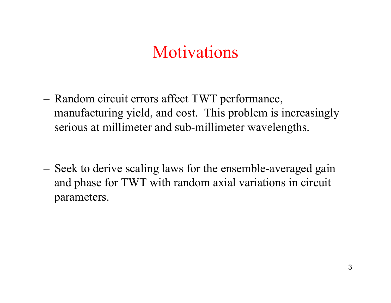## **Motivations**

- Random circuit errors affect TWT performance, manufacturing yield, and cost. This problem is increasingly serious at millimeter and sub-millimeter wavelengths.
- Seek to derive scaling laws for the ensemble-averaged gain and phase for TWT with random axial variations in circuit parameters.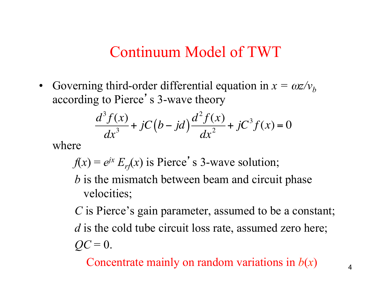### Continuum Model of TWT

• Governing third-order differential equation in  $x = \omega z / v_b$ according to Pierce's 3-wave theory

$$
\frac{d^3 f(x)}{dx^3} + jC(b - jd)\frac{d^2 f(x)}{dx^2} + jC^3 f(x) = 0
$$

where

 $f(x) = e^{ix} E_r(x)$  is Pierce's 3-wave solution;

*b* is the mismatch between beam and circuit phase velocities;

*C* is Pierce's gain parameter, assumed to be a constant; *d* is the cold tube circuit loss rate, assumed zero here;  $QC = 0$ .

Concentrate mainly on random variations in *b*(*x*)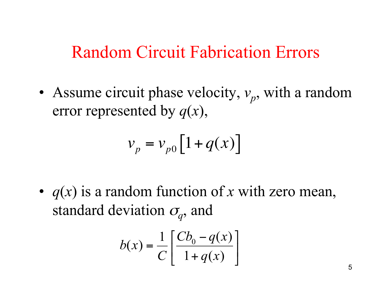### Random Circuit Fabrication Errors

• Assume circuit phase velocity,  $v_p$ , with a random error represented by *q*(*x*),

$$
v_p = v_{p0} \left[ 1 + q(x) \right]
$$

• *q*(*x*) is a random function of *x* with zero mean, standard deviation  $\sigma_q$ , and

$$
b(x) = \frac{1}{C} \left[ \frac{Cb_0 - q(x)}{1 + q(x)} \right]
$$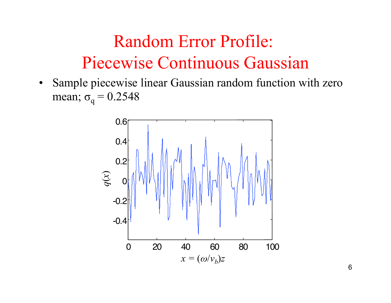# Random Error Profile: Piecewise Continuous Gaussian

• Sample piecewise linear Gaussian random function with zero mean;  $\sigma_{q} = 0.2548$ 

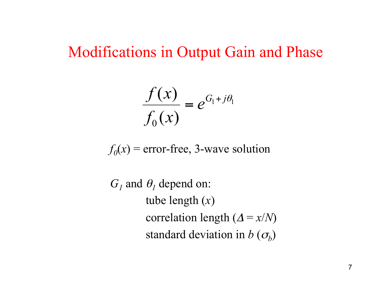Modifications in Output Gain and Phase

$$
\frac{f(x)}{f_0(x)} = e^{G_1 + j\theta_1}
$$

 $f_0(x)$  = error-free, 3-wave solution

 $G_1$  and  $\theta_1$  depend on: tube length (*x*) correlation length  $(\Delta = x/N)$ standard deviation in  $b(\sigma_b)$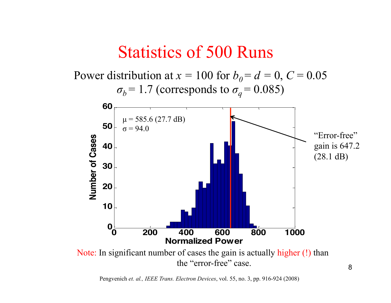### Statistics of 500 Runs



Pengvenich *et. al., IEEE Trans. Electron Devices*, vol. 55, no. 3, pp. 916-924 (2008)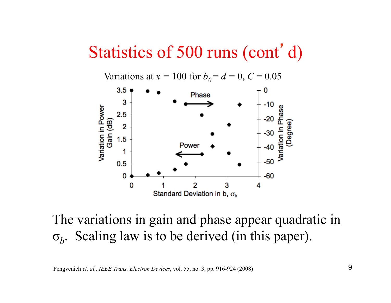### Statistics of 500 runs (cont'd)

Variations at  $x = 100$  for  $b_0 = d = 0$ ,  $C = 0.05$ 



The variations in gain and phase appear quadratic in σ*b*. Scaling law is to be derived (in this paper).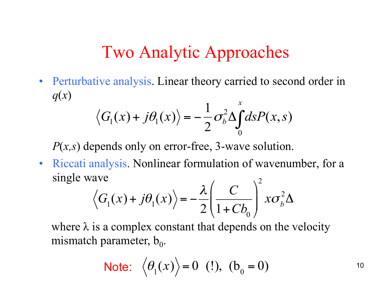## Two Analytic Approaches

• Perturbative analysis. Linear theory carried to second order in *q*(*x*) *x*

$$
\langle G_1(x) + j\theta_1(x) \rangle = -\frac{1}{2}\sigma_b^2 \Delta \int_0^x ds P(x, s)
$$

*P*(*x,s*) depends only on error-free, 3-wave solution.

• Riccati analysis. Nonlinear formulation of wavenumber, for a single wave  $\cdot$  2

$$
\langle G_1(x) + j\theta_1(x) \rangle = -\frac{\lambda}{2} \left( \frac{C}{1 + Cb_0} \right)^2 x \sigma_b^2 \Delta
$$

where  $\lambda$  is a complex constant that depends on the velocity mismatch parameter,  $b_0$ .

**Note:** 
$$
\langle \theta_1(x) \rangle = 0
$$
 (!),  $(b_0 = 0)$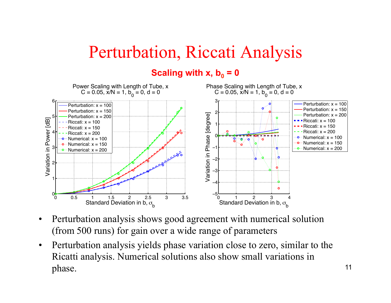# Perturbation, Riccati Analysis

#### **Scaling with x,**  $b_0 = 0$



- Perturbation analysis shows good agreement with numerical solution (from 500 runs) for gain over a wide range of parameters
- Perturbation analysis yields phase variation close to zero, similar to the Ricatti analysis. Numerical solutions also show small variations in phase.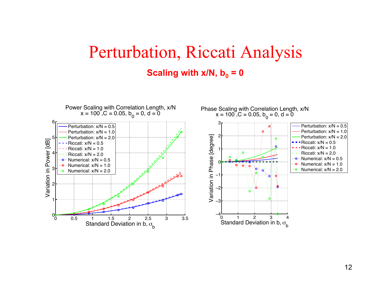### Perturbation, Riccati Analysis **Scaling with x/N,**  $b_0 = 0$

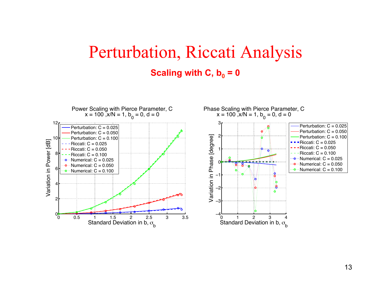### Perturbation, Riccati Analysis **Scaling with C,**  $b_0 = 0$

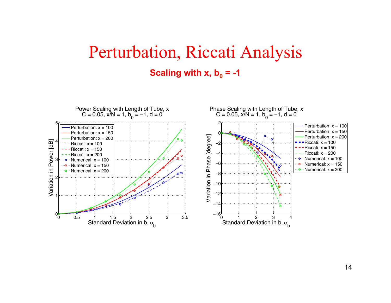### Perturbation, Riccati Analysis **Scaling with x,**  $b_0 = -1$

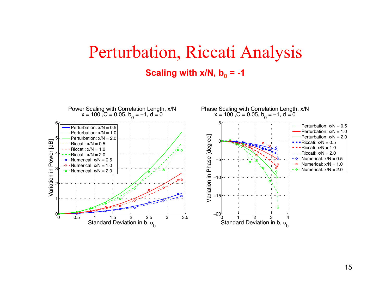### Perturbation, Riccati Analysis **Scaling with x/N,**  $b_0 = -1$

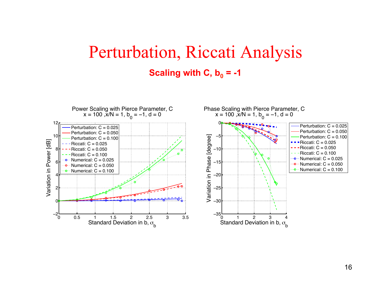### Perturbation, Riccati Analysis **Scaling with C,**  $b_0 = -1$

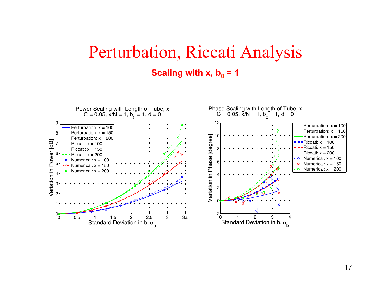### Perturbation, Riccati Analysis **Scaling with x,**  $b_0 = 1$

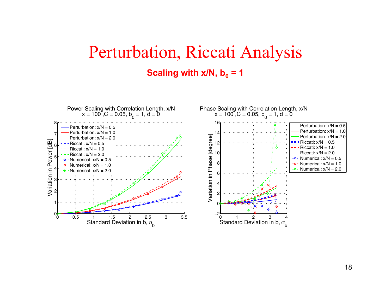### Perturbation, Riccati Analysis **Scaling with x/N,**  $b_0 = 1$

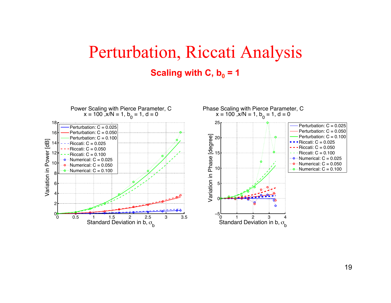### Perturbation, Riccati Analysis **Scaling with C,**  $b_0 = 1$